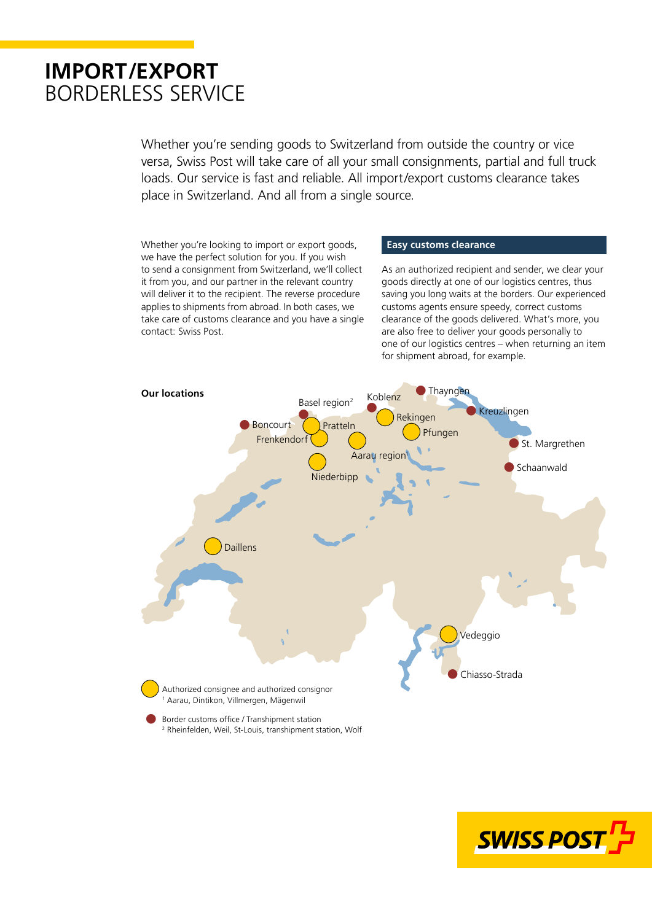# **IMPORT/EXPORT** BORDERLESS SERVICE

Whether you're sending goods to Switzerland from outside the country or vice versa, Swiss Post will take care of all your small consignments, partial and full truck loads. Our service is fast and reliable. All import/export customs clearance takes place in Switzerland. And all from a single source.

Whether you're looking to import or export goods, we have the perfect solution for you. If you wish to send a consignment from Switzerland, we'll collect it from you, and our partner in the relevant country will deliver it to the recipient. The reverse procedure applies to shipments from abroad. In both cases, we take care of customs clearance and you have a single contact: Swiss Post.

### **Easy customs clearance**

As an authorized recipient and sender, we clear your goods directly at one of our logistics centres, thus saving you long waits at the borders. Our experienced customs agents ensure speedy, correct customs clearance of the goods delivered. What's more, you are also free to deliver your goods personally to one of our logistics centres – when returning an item for shipment abroad, for example.